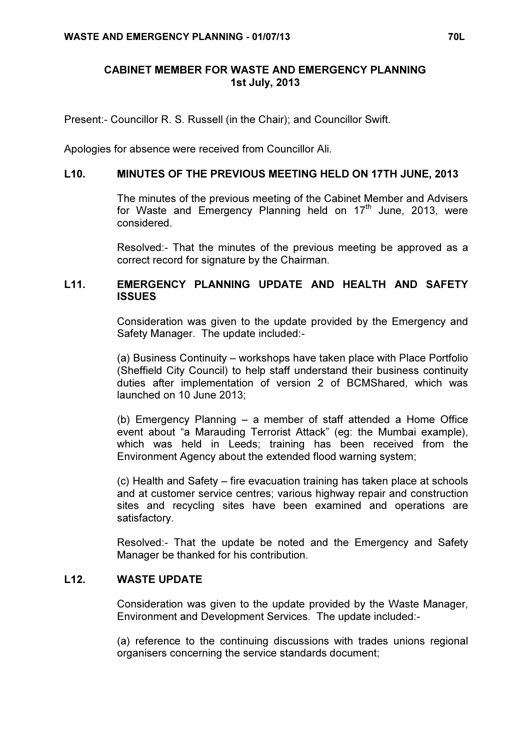# CABINET MEMBER FOR WASTE AND EMERGENCY PLANNING 1st July, 2013

Present:- Councillor R. S. Russell (in the Chair); and Councillor Swift.

Apologies for absence were received from Councillor Ali.

### L10. MINUTES OF THE PREVIOUS MEETING HELD ON 17TH JUNE, 2013

 The minutes of the previous meeting of the Cabinet Member and Advisers for Waste and Emergency Planning held on  $17<sup>th</sup>$  June, 2013, were considered.

Resolved:- That the minutes of the previous meeting be approved as a correct record for signature by the Chairman.

## L11. EMERGENCY PLANNING UPDATE AND HEALTH AND SAFETY **ISSUES**

 Consideration was given to the update provided by the Emergency and Safety Manager. The update included:-

(a) Business Continuity – workshops have taken place with Place Portfolio (Sheffield City Council) to help staff understand their business continuity duties after implementation of version 2 of BCMShared, which was launched on 10 June 2013;

(b) Emergency Planning – a member of staff attended a Home Office event about "a Marauding Terrorist Attack" (eg: the Mumbai example), which was held in Leeds; training has been received from the Environment Agency about the extended flood warning system;

(c) Health and Safety – fire evacuation training has taken place at schools and at customer service centres; various highway repair and construction sites and recycling sites have been examined and operations are satisfactory.

Resolved:- That the update be noted and the Emergency and Safety Manager be thanked for his contribution.

### L12. WASTE UPDATE

 Consideration was given to the update provided by the Waste Manager, Environment and Development Services. The update included:-

(a) reference to the continuing discussions with trades unions regional organisers concerning the service standards document;